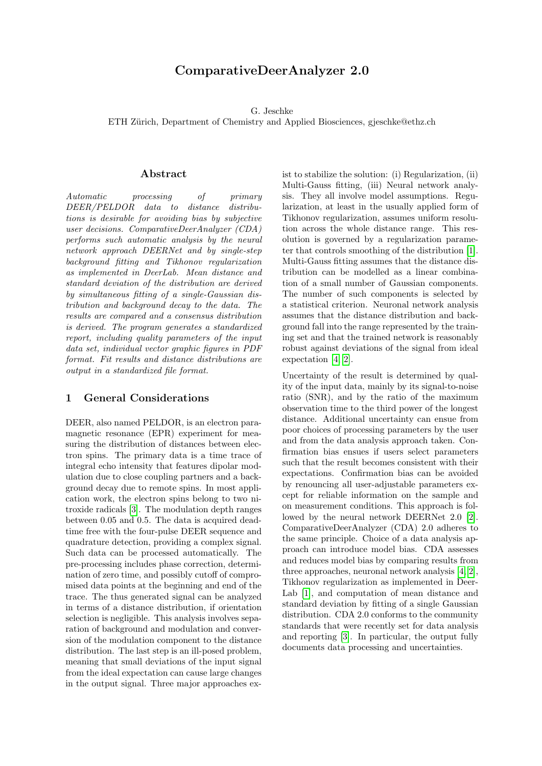# ComparativeDeerAnalyzer 2.0

G. Jeschke

ETH Zürich, Department of Chemistry and Applied Biosciences, gjeschke@ethz.ch

# Abstract

Automatic processing of primary DEER/PELDOR data to distance distributions is desirable for avoiding bias by subjective user decisions. ComparativeDeerAnalyzer (CDA) performs such automatic analysis by the neural network approach DEERNet and by single-step background fitting and Tikhonov regularization as implemented in DeerLab. Mean distance and standard deviation of the distribution are derived by simultaneous fitting of a single-Gaussian distribution and background decay to the data. The results are compared and a consensus distribution is derived. The program generates a standardized report, including quality parameters of the input data set, individual vector graphic figures in PDF format. Fit results and distance distributions are output in a standardized file format.

# 1 General Considerations

DEER, also named PELDOR, is an electron paramagnetic resonance (EPR) experiment for measuring the distribution of distances between electron spins. The primary data is a time trace of integral echo intensity that features dipolar modulation due to close coupling partners and a background decay due to remote spins. In most application work, the electron spins belong to two nitroxide radicals [\[3\]](#page-5-0). The modulation depth ranges between 0.05 and 0.5. The data is acquired deadtime free with the four-pulse DEER sequence and quadrature detection, providing a complex signal. Such data can be processed automatically. The pre-processing includes phase correction, determination of zero time, and possibly cutoff of compromised data points at the beginning and end of the trace. The thus generated signal can be analyzed in terms of a distance distribution, if orientation selection is negligible. This analysis involves separation of background and modulation and conversion of the modulation component to the distance distribution. The last step is an ill-posed problem, meaning that small deviations of the input signal from the ideal expectation can cause large changes in the output signal. Three major approaches exist to stabilize the solution: (i) Regularization, (ii) Multi-Gauss fitting, (iii) Neural network analysis. They all involve model assumptions. Regularization, at least in the usually applied form of Tikhonov regularization, assumes uniform resolution across the whole distance range. This resolution is governed by a regularization parameter that controls smoothing of the distribution [\[1\]](#page-5-1). Multi-Gauss fitting assumes that the distance distribution can be modelled as a linear combination of a small number of Gaussian components. The number of such components is selected by a statistical criterion. Neuronal network analysis assumes that the distance distribution and background fall into the range represented by the training set and that the trained network is reasonably robust against deviations of the signal from ideal expectation [\[4,](#page-5-2) [2\]](#page-5-3).

Uncertainty of the result is determined by quality of the input data, mainly by its signal-to-noise ratio (SNR), and by the ratio of the maximum observation time to the third power of the longest distance. Additional uncertainty can ensue from poor choices of processing parameters by the user and from the data analysis approach taken. Confirmation bias ensues if users select parameters such that the result becomes consistent with their expectations. Confirmation bias can be avoided by renouncing all user-adjustable parameters except for reliable information on the sample and on measurement conditions. This approach is followed by the neural network DEERNet 2.0 [\[2\]](#page-5-3). ComparativeDeerAnalyzer (CDA) 2.0 adheres to the same principle. Choice of a data analysis approach can introduce model bias. CDA assesses and reduces model bias by comparing results from three approaches, neuronal network analysis [\[4,](#page-5-2) [2\]](#page-5-3), Tikhonov regularization as implemented in Deer-Lab [\[1\]](#page-5-1), and computation of mean distance and standard deviation by fitting of a single Gaussian distribution. CDA 2.0 conforms to the community standards that were recently set for data analysis and reporting [\[3\]](#page-5-0). In particular, the output fully documents data processing and uncertainties.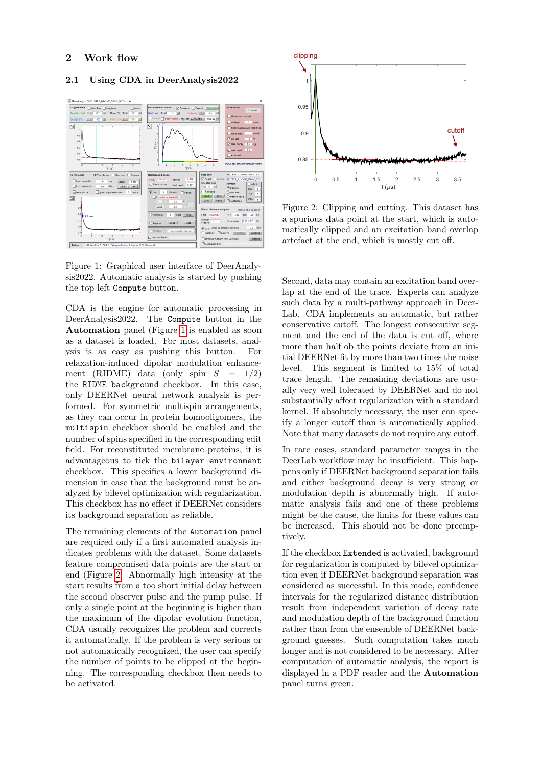# 2 Work flow

# Phase (\*) ILL  $\overline{\mathbb{N}}$  $\overline{\mathbb{N}}$

### 2.1 Using CDA in DeerAnalysis2022

<span id="page-1-0"></span>Figure 1: Graphical user interface of DeerAnalysis2022. Automatic analysis is started by pushing the top left Compute button.

CDA is the engine for automatic processing in DeerAnalysis2022. The Compute button in the Automation panel (Figure [1](#page-1-0) is enabled as soon as a dataset is loaded. For most datasets, analysis is as easy as pushing this button. For relaxation-induced dipolar modulation enhancement (RIDME) data (only spin  $S = 1/2$ ) the RIDME background checkbox. In this case, only DEERNet neural network analysis is performed. For symmetric multispin arrangements, as they can occur in protein homooligomers, the multispin checkbox should be enabled and the number of spins specified in the corresponding edit field. For reconstituted membrane proteins, it is advantageous to tick the bilayer environment checkbox. This specifies a lower background dimension in case that the background must be analyzed by bilevel optimization with regularization. This checkbox has no effect if DEERNet considers its background separation as reliable.

The remaining elements of the Automation panel are required only if a first automated analysis indicates problems with the dataset. Some datasets feature compromised data points are the start or end (Figure [2.](#page-1-1) Abnormally high intensity at the start results from a too short initial delay between the second observer pulse and the pump pulse. If only a single point at the beginning is higher than the maximum of the dipolar evolution function, CDA usually recognizes the problem and corrects it automatically. If the problem is very serious or not automatically recognized, the user can specify the number of points to be clipped at the beginning. The corresponding checkbox then needs to be activated.



<span id="page-1-1"></span>Figure 2: Clipping and cutting. This dataset has a spurious data point at the start, which is automatically clipped and an excitation band overlap artefact at the end, which is mostly cut off.

Second, data may contain an excitation band overlap at the end of the trace. Experts can analyze such data by a multi-pathway approach in Deer-Lab. CDA implements an automatic, but rather conservative cutoff. The longest consecutive segment and the end of the data is cut off, where more than half ob the points deviate from an initial DEERNet fit by more than two times the noise level. This segment is limited to 15% of total trace length. The remaining deviations are usually very well tolerated by DEERNet and do not substantially affect regularization with a standard kernel. If absolutely necessary, the user can specify a longer cutoff than is automatically applied. Note that many datasets do not require any cutoff.

In rare cases, standard parameter ranges in the DeerLab workflow may be insufficient. This happens only if DEERNet background separation fails and either background decay is very strong or modulation depth is abnormally high. If automatic analysis fails and one of these problems might be the cause, the limits for these values can be increased. This should not be done preemptively.

If the checkbox Extended is activated, background for regularization is computed by bilevel optimization even if DEERNet background separation was considered as successful. In this mode, confidence intervals for the regularized distance distribution result from independent variation of decay rate and modulation depth of the background function rather than from the ensemble of DEERNet background guesses. Such computation takes much longer and is not considered to be necessary. After computation of automatic analysis, the report is displayed in a PDF reader and the Automation panel turns green.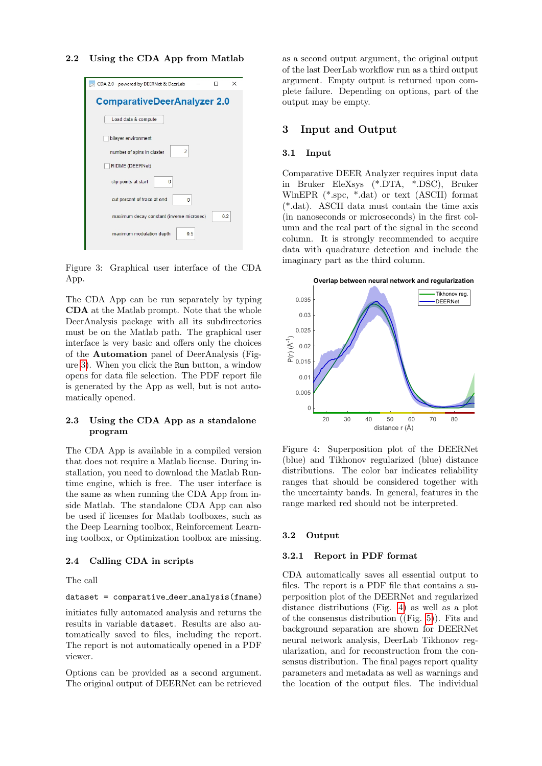### 2.2 Using the CDA App from Matlab



Figure 3: Graphical user interface of the CDA App.

<span id="page-2-0"></span>The CDA App can be run separately by typing CDA at the Matlab prompt. Note that the whole DeerAnalysis package with all its subdirectories must be on the Matlab path. The graphical user interface is very basic and offers only the choices of the Automation panel of DeerAnalysis (Figure [3\)](#page-2-0). When you click the Run button, a window opens for data file selection. The PDF report file is generated by the App as well, but is not automatically opened.

# 2.3 Using the CDA App as a standalone program

The CDA App is available in a compiled version that does not require a Matlab license. During installation, you need to download the Matlab Runtime engine, which is free. The user interface is the same as when running the CDA App from inside Matlab. The standalone CDA App can also be used if licenses for Matlab toolboxes, such as the Deep Learning toolbox, Reinforcement Learning toolbox, or Optimization toolbox are missing.

### 2.4 Calling CDA in scripts

The call

### dataset = comparative deer analysis(fname)

initiates fully automated analysis and returns the results in variable dataset. Results are also automatically saved to files, including the report. The report is not automatically opened in a PDF viewer.

Options can be provided as a second argument. The original output of DEERNet can be retrieved as a second output argument, the original output of the last DeerLab workflow run as a third output argument. Empty output is returned upon complete failure. Depending on options, part of the output may be empty.

### 3 Input and Output

### 3.1 Input

Comparative DEER Analyzer requires input data in Bruker EleXsys (\*.DTA, \*.DSC), Bruker WinEPR (\*.spc, \*.dat) or text (ASCII) format (\*.dat). ASCII data must contain the time axis (in nanoseconds or microseconds) in the first column and the real part of the signal in the second column. It is strongly recommended to acquire data with quadrature detection and include the imaginary part as the third column.



<span id="page-2-1"></span>Figure 4: Superposition plot of the DEERNet (blue) and Tikhonov regularized (blue) distance distributions. The color bar indicates reliability ranges that should be considered together with the uncertainty bands. In general, features in the range marked red should not be interpreted.

### 3.2 Output

# 3.2.1 Report in PDF format

CDA automatically saves all essential output to files. The report is a PDF file that contains a superposition plot of the DEERNet and regularized distance distributions (Fig. [4\)](#page-2-1) as well as a plot of the consensus distribution ((Fig. [5\)](#page-3-0)). Fits and background separation are shown for DEERNet neural network analysis, DeerLab Tikhonov regularization, and for reconstruction from the consensus distribution. The final pages report quality parameters and metadata as well as warnings and the location of the output files. The individual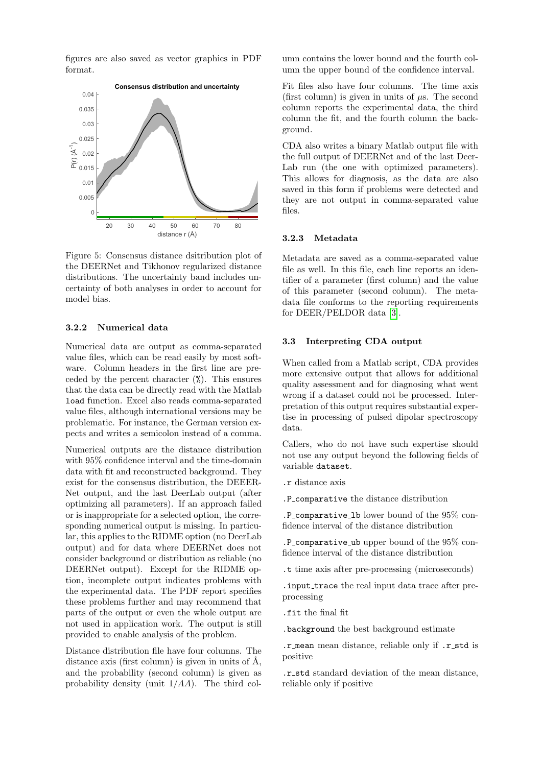figures are also saved as vector graphics in PDF format.



<span id="page-3-0"></span>Figure 5: Consensus distance dsitribution plot of the DEERNet and Tikhonov regularized distance distributions. The uncertainty band includes uncertainty of both analyses in order to account for model bias.

# 3.2.2 Numerical data

Numerical data are output as comma-separated value files, which can be read easily by most software. Column headers in the first line are preceded by the percent character  $(\%)$ . This ensures that the data can be directly read with the Matlab load function. Excel also reads comma-separated value files, although international versions may be problematic. For instance, the German version expects and writes a semicolon instead of a comma.

Numerical outputs are the distance distribution with 95% confidence interval and the time-domain data with fit and reconstructed background. They exist for the consensus distribution, the DEEER-Net output, and the last DeerLab output (after optimizing all parameters). If an approach failed or is inappropriate for a selected option, the corresponding numerical output is missing. In particular, this applies to the RIDME option (no DeerLab output) and for data where DEERNet does not consider background or distribution as reliable (no DEERNet output). Except for the RIDME option, incomplete output indicates problems with the experimental data. The PDF report specifies these problems further and may recommend that parts of the output or even the whole output are not used in application work. The output is still provided to enable analysis of the problem.

Distance distribution file have four columns. The distance axis (first column) is given in units of  $\AA$ , and the probability (second column) is given as probability density (unit 1/AA). The third column contains the lower bound and the fourth column the upper bound of the confidence interval.

Fit files also have four columns. The time axis (first column) is given in units of  $\mu$ s. The second column reports the experimental data, the third column the fit, and the fourth column the background.

CDA also writes a binary Matlab output file with the full output of DEERNet and of the last Deer-Lab run (the one with optimized parameters). This allows for diagnosis, as the data are also saved in this form if problems were detected and they are not output in comma-separated value files.

### 3.2.3 Metadata

Metadata are saved as a comma-separated value file as well. In this file, each line reports an identifier of a parameter (first column) and the value of this parameter (second column). The metadata file conforms to the reporting requirements for DEER/PELDOR data [\[3\]](#page-5-0).

### 3.3 Interpreting CDA output

When called from a Matlab script, CDA provides more extensive output that allows for additional quality assessment and for diagnosing what went wrong if a dataset could not be processed. Interpretation of this output requires substantial expertise in processing of pulsed dipolar spectroscopy data.

Callers, who do not have such expertise should not use any output beyond the following fields of variable dataset.

- .r distance axis
- .P comparative the distance distribution

.P comparative lb lower bound of the 95% confidence interval of the distance distribution

.P\_comparative\_ub upper bound of the 95% confidence interval of the distance distribution

.t time axis after pre-processing (microseconds)

. input\_trace the real input data trace after preprocessing

.fit the final fit

.background the best background estimate

.r mean mean distance, reliable only if .r std is positive

.r std standard deviation of the mean distance, reliable only if positive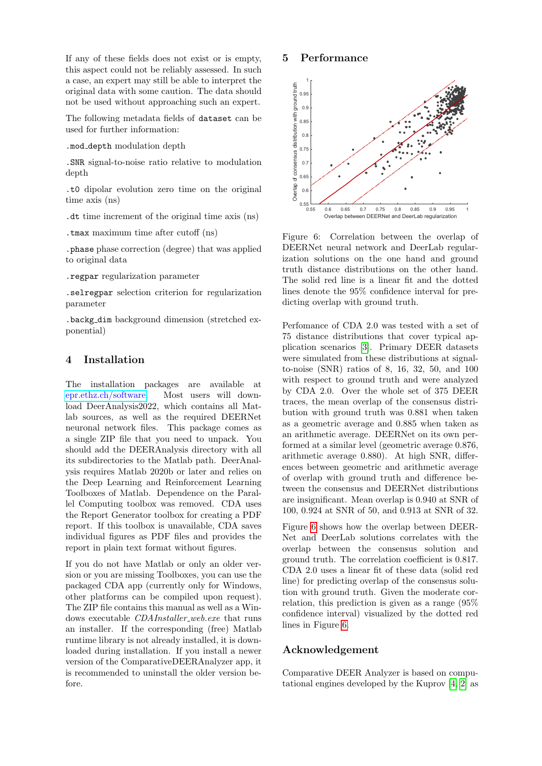If any of these fields does not exist or is empty, this aspect could not be reliably assessed. In such a case, an expert may still be able to interpret the original data with some caution. The data should not be used without approaching such an expert.

The following metadata fields of dataset can be used for further information:

.mod depth modulation depth

.SNR signal-to-noise ratio relative to modulation depth

.t0 dipolar evolution zero time on the original time axis (ns)

.dt time increment of the original time axis (ns)

.tmax maximum time after cutoff (ns)

.phase phase correction (degree) that was applied to original data

.regpar regularization parameter

.selregpar selection criterion for regularization parameter

.backg dim background dimension (stretched exponential)

# 4 Installation

The installation packages are available at [epr.ethz.ch/software.](https://epr.ethz.ch/software.html) Most users will download DeerAnalysis2022, which contains all Matlab sources, as well as the required DEERNet neuronal network files. This package comes as a single ZIP file that you need to unpack. You should add the DEERAnalysis directory with all its subdirectories to the Matlab path. DeerAnalysis requires Matlab 2020b or later and relies on the Deep Learning and Reinforcement Learning Toolboxes of Matlab. Dependence on the Parallel Computing toolbox was removed. CDA uses the Report Generator toolbox for creating a PDF report. If this toolbox is unavailable, CDA saves individual figures as PDF files and provides the report in plain text format without figures.

If you do not have Matlab or only an older version or you are missing Toolboxes, you can use the packaged CDA app (currently only for Windows, other platforms can be compiled upon request). The ZIP file contains this manual as well as a Windows executable *CDAInstaller\_web.exe* that runs an installer. If the corresponding (free) Matlab runtime library is not already installed, it is downloaded during installation. If you install a newer version of the ComparativeDEERAnalyzer app, it is recommended to uninstall the older version before.

# 5 Performance



<span id="page-4-0"></span>Figure 6: Correlation between the overlap of DEERNet neural network and DeerLab regularization solutions on the one hand and ground truth distance distributions on the other hand. The solid red line is a linear fit and the dotted lines denote the 95% confidence interval for predicting overlap with ground truth.

Perfomance of CDA 2.0 was tested with a set of 75 distance distributions that cover typical application scenarios [\[3\]](#page-5-0). Primary DEER datasets were simulated from these distributions at signalto-noise (SNR) ratios of 8, 16, 32, 50, and 100 with respect to ground truth and were analyzed by CDA 2.0. Over the whole set of 375 DEER traces, the mean overlap of the consensus distribution with ground truth was 0.881 when taken as a geometric average and 0.885 when taken as an arithmetic average. DEERNet on its own performed at a similar level (geometric average 0.876, arithmetic average 0.880). At high SNR, differences between geometric and arithmetic average of overlap with ground truth and difference between the consensus and DEERNet distributions are insignificant. Mean overlap is 0.940 at SNR of 100, 0.924 at SNR of 50, and 0.913 at SNR of 32.

Figure [6](#page-4-0) shows how the overlap between DEER-Net and DeerLab solutions correlates with the overlap between the consensus solution and ground truth. The correlation coefficient is 0.817. CDA 2.0 uses a linear fit of these data (solid red line) for predicting overlap of the consensus solution with ground truth. Given the moderate correlation, this prediction is given as a range (95% confidence interval) visualized by the dotted red lines in Figure [6.](#page-4-0)

# Acknowledgement

Comparative DEER Analyzer is based on computational engines developed by the Kuprov [\[4,](#page-5-2) [2\]](#page-5-3) as